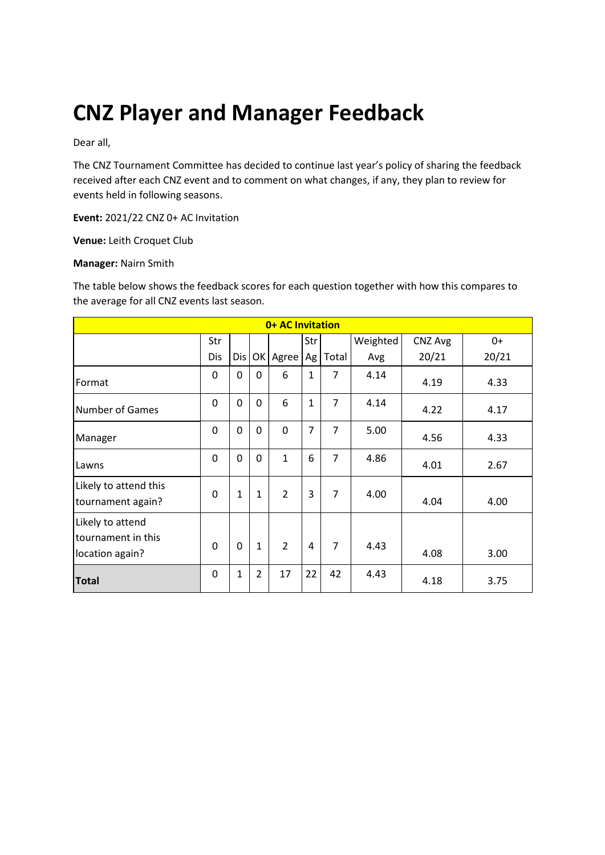# **CNZ Player and Manager Feedback**

Dear all,

The CNZ Tournament Committee has decided to continue last year's policy of sharing the feedback received after each CNZ event and to comment on what changes, if any, they plan to review for events held in following seasons.

**Event:** 2021/22 CNZ 0+ AC Invitation

**Venue:** Leith Croquet Club

#### **Manager:** Nairn Smith

The table below shows the feedback scores for each question together with how this compares to the average for all CNZ events last season.

| 0+ AC Invitation                                          |          |              |                |                |                |                |          |         |       |
|-----------------------------------------------------------|----------|--------------|----------------|----------------|----------------|----------------|----------|---------|-------|
|                                                           | Str      |              |                |                | Str            |                | Weighted | CNZ Avg | $0+$  |
|                                                           | Dis      | Dis          |                | OK Agree       | Ag             | Total          | Avg      | 20/21   | 20/21 |
| Format                                                    | 0        | 0            | $\Omega$       | 6              | $\mathbf{1}$   | 7              | 4.14     | 4.19    | 4.33  |
| <b>Number of Games</b>                                    | 0        | 0            | 0              | 6              | $\mathbf{1}$   | $\overline{7}$ | 4.14     | 4.22    | 4.17  |
| Manager                                                   | 0        | 0            | $\mathbf 0$    | 0              | $\overline{7}$ | $\overline{7}$ | 5.00     | 4.56    | 4.33  |
| Lawns                                                     | 0        | 0            | $\mathbf 0$    | $\mathbf{1}$   | 6              | $\overline{7}$ | 4.86     | 4.01    | 2.67  |
| Likely to attend this<br>tournament again?                | $\Omega$ | $\mathbf{1}$ | $\mathbf{1}$   | $\overline{2}$ | 3              | $\overline{7}$ | 4.00     | 4.04    | 4.00  |
| Likely to attend<br>tournament in this<br>location again? | $\Omega$ | $\Omega$     | $\mathbf{1}$   | $\overline{2}$ | $\overline{4}$ | $\overline{7}$ | 4.43     | 4.08    | 3.00  |
| <b>Total</b>                                              | 0        | 1            | $\overline{2}$ | 17             | 22             | 42             | 4.43     | 4.18    | 3.75  |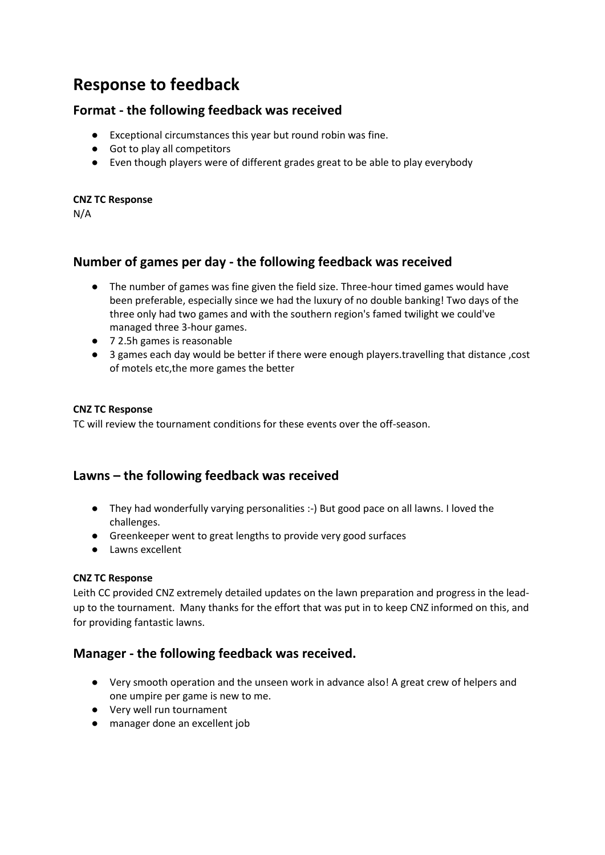# **Response to feedback**

# **Format - the following feedback was received**

- Exceptional circumstances this year but round robin was fine.
- Got to play all competitors
- Even though players were of different grades great to be able to play everybody

#### **CNZ TC Response**

N/A

# **Number of games per day - the following feedback was received**

- The number of games was fine given the field size. Three-hour timed games would have been preferable, especially since we had the luxury of no double banking! Two days of the three only had two games and with the southern region's famed twilight we could've managed three 3-hour games.
- 7 2.5h games is reasonable
- 3 games each day would be better if there were enough players.travelling that distance ,cost of motels etc,the more games the better

### **CNZ TC Response**

TC will review the tournament conditions for these events over the off-season.

# **Lawns – the following feedback was received**

- They had wonderfully varying personalities :-) But good pace on all lawns. I loved the challenges.
- Greenkeeper went to great lengths to provide very good surfaces
- Lawns excellent

### **CNZ TC Response**

Leith CC provided CNZ extremely detailed updates on the lawn preparation and progress in the leadup to the tournament. Many thanks for the effort that was put in to keep CNZ informed on this, and for providing fantastic lawns.

# **Manager - the following feedback was received.**

- Very smooth operation and the unseen work in advance also! A great crew of helpers and one umpire per game is new to me.
- Very well run tournament
- manager done an excellent job